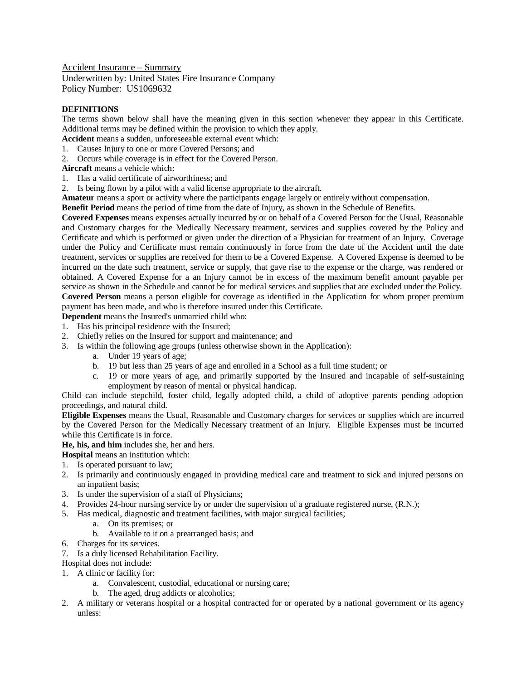Accident Insurance – Summary Underwritten by: United States Fire Insurance Company Policy Number: US1069632

## **DEFINITIONS**

The terms shown below shall have the meaning given in this section whenever they appear in this Certificate. Additional terms may be defined within the provision to which they apply.

**Accident** means a sudden, unforeseeable external event which:

- 1. Causes Injury to one or more Covered Persons; and
- 2. Occurs while coverage is in effect for the Covered Person.
- **Aircraft** means a vehicle which:
- 1. Has a valid certificate of airworthiness; and
- 2. Is being flown by a pilot with a valid license appropriate to the aircraft.

**Amateur** means a sport or activity where the participants engage largely or entirely without compensation.

**Benefit Period** means the period of time from the date of Injury, as shown in the Schedule of Benefits.

**Covered Expenses** means expenses actually incurred by or on behalf of a Covered Person for the Usual, Reasonable and Customary charges for the Medically Necessary treatment, services and supplies covered by the Policy and Certificate and which is performed or given under the direction of a Physician for treatment of an Injury. Coverage under the Policy and Certificate must remain continuously in force from the date of the Accident until the date treatment, services or supplies are received for them to be a Covered Expense. A Covered Expense is deemed to be incurred on the date such treatment, service or supply, that gave rise to the expense or the charge, was rendered or obtained. A Covered Expense for a an Injury cannot be in excess of the maximum benefit amount payable per service as shown in the Schedule and cannot be for medical services and supplies that are excluded under the Policy. **Covered Person** means a person eligible for coverage as identified in the Application for whom proper premium

payment has been made, and who is therefore insured under this Certificate.

**Dependent** means the Insured's unmarried child who:

- 1. Has his principal residence with the Insured;
- 2. Chiefly relies on the Insured for support and maintenance; and
- 3. Is within the following age groups (unless otherwise shown in the Application):
	- a. Under 19 years of age;
	- b. 19 but less than 25 years of age and enrolled in a School as a full time student; or
	- c. 19 or more years of age, and primarily supported by the Insured and incapable of self-sustaining employment by reason of mental or physical handicap.

Child can include stepchild, foster child, legally adopted child, a child of adoptive parents pending adoption proceedings, and natural child.

**Eligible Expenses** means the Usual, Reasonable and Customary charges for services or supplies which are incurred by the Covered Person for the Medically Necessary treatment of an Injury. Eligible Expenses must be incurred while this Certificate is in force.

**He, his, and him** includes she, her and hers.

**Hospital** means an institution which:

- 1. Is operated pursuant to law;
- 2. Is primarily and continuously engaged in providing medical care and treatment to sick and injured persons on an inpatient basis;
- 3. Is under the supervision of a staff of Physicians;
- 4. Provides 24-hour nursing service by or under the supervision of a graduate registered nurse, (R.N.);
- 5. Has medical, diagnostic and treatment facilities, with major surgical facilities;
	- a. On its premises; or
	- b. Available to it on a prearranged basis; and
- 6. Charges for its services.
- 7. Is a duly licensed Rehabilitation Facility.
- Hospital does not include:
- 1. A clinic or facility for:
	- a. Convalescent, custodial, educational or nursing care;
	- b. The aged, drug addicts or alcoholics;
- 2. A military or veterans hospital or a hospital contracted for or operated by a national government or its agency unless: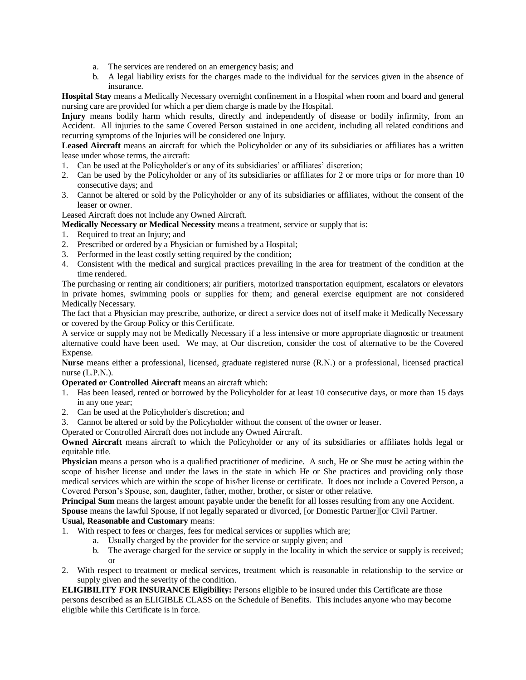- a. The services are rendered on an emergency basis; and
- b. A legal liability exists for the charges made to the individual for the services given in the absence of insurance.

**Hospital Stay** means a Medically Necessary overnight confinement in a Hospital when room and board and general nursing care are provided for which a per diem charge is made by the Hospital.

**Injury** means bodily harm which results, directly and independently of disease or bodily infirmity, from an Accident. All injuries to the same Covered Person sustained in one accident, including all related conditions and recurring symptoms of the Injuries will be considered one Injury.

**Leased Aircraft** means an aircraft for which the Policyholder or any of its subsidiaries or affiliates has a written lease under whose terms, the aircraft:

- 1. Can be used at the Policyholder's or any of its subsidiaries' or affiliates' discretion;
- 2. Can be used by the Policyholder or any of its subsidiaries or affiliates for 2 or more trips or for more than 10 consecutive days; and
- 3. Cannot be altered or sold by the Policyholder or any of its subsidiaries or affiliates, without the consent of the leaser or owner.

Leased Aircraft does not include any Owned Aircraft.

- **Medically Necessary or Medical Necessity** means a treatment, service or supply that is:
- 1. Required to treat an Injury; and
- 2. Prescribed or ordered by a Physician or furnished by a Hospital;
- 3. Performed in the least costly setting required by the condition;
- 4. Consistent with the medical and surgical practices prevailing in the area for treatment of the condition at the time rendered.

The purchasing or renting air conditioners; air purifiers, motorized transportation equipment, escalators or elevators in private homes, swimming pools or supplies for them; and general exercise equipment are not considered Medically Necessary.

The fact that a Physician may prescribe, authorize, or direct a service does not of itself make it Medically Necessary or covered by the Group Policy or this Certificate.

A service or supply may not be Medically Necessary if a less intensive or more appropriate diagnostic or treatment alternative could have been used. We may, at Our discretion, consider the cost of alternative to be the Covered Expense.

**Nurse** means either a professional, licensed, graduate registered nurse (R.N.) or a professional, licensed practical nurse (L.P.N.).

**Operated or Controlled Aircraft** means an aircraft which:

- 1. Has been leased, rented or borrowed by the Policyholder for at least 10 consecutive days, or more than 15 days in any one year;
- 2. Can be used at the Policyholder's discretion; and
- 3. Cannot be altered or sold by the Policyholder without the consent of the owner or leaser.

Operated or Controlled Aircraft does not include any Owned Aircraft.

**Owned Aircraft** means aircraft to which the Policyholder or any of its subsidiaries or affiliates holds legal or equitable title.

**Physician** means a person who is a qualified practitioner of medicine. A such, He or She must be acting within the scope of his/her license and under the laws in the state in which He or She practices and providing only those medical services which are within the scope of his/her license or certificate. It does not include a Covered Person, a Covered Person's Spouse, son, daughter, father, mother, brother, or sister or other relative.

**Principal Sum** means the largest amount payable under the benefit for all losses resulting from any one Accident. **Spouse** means the lawful Spouse, if not legally separated or divorced, [or Domestic Partner][or Civil Partner.

## **Usual, Reasonable and Customary** means:

- 1. With respect to fees or charges, fees for medical services or supplies which are;
	- a. Usually charged by the provider for the service or supply given; and
	- b. The average charged for the service or supply in the locality in which the service or supply is received; or
- 2. With respect to treatment or medical services, treatment which is reasonable in relationship to the service or supply given and the severity of the condition.

**ELIGIBILITY FOR INSURANCE Eligibility:** Persons eligible to be insured under this Certificate are those persons described as an ELIGIBLE CLASS on the Schedule of Benefits. This includes anyone who may become eligible while this Certificate is in force.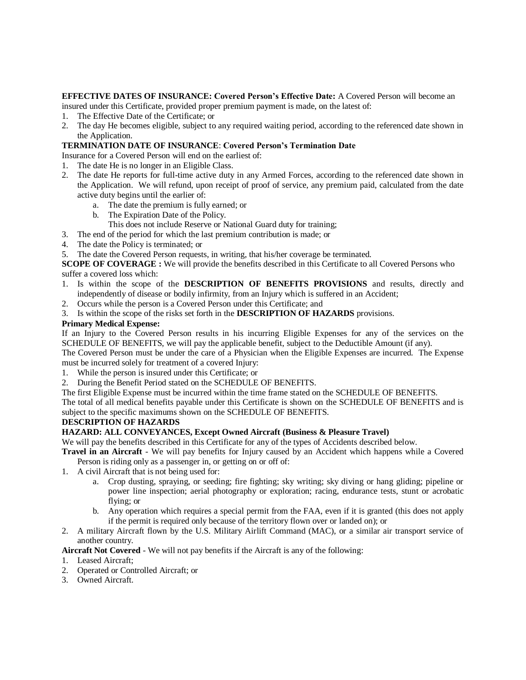**EFFECTIVE DATES OF INSURANCE: Covered Person's Effective Date:** A Covered Person will become an insured under this Certificate, provided proper premium payment is made, on the latest of:

- 1. The Effective Date of the Certificate; or
- 2. The day He becomes eligible, subject to any required waiting period, according to the referenced date shown in the Application.

#### **TERMINATION DATE OF INSURANCE**: **Covered Person's Termination Date**

Insurance for a Covered Person will end on the earliest of:

- 1. The date He is no longer in an Eligible Class.
- 2. The date He reports for full-time active duty in any Armed Forces, according to the referenced date shown in the Application. We will refund, upon receipt of proof of service, any premium paid, calculated from the date active duty begins until the earlier of:
	- a. The date the premium is fully earned; or
	- b. The Expiration Date of the Policy.
	- This does not include Reserve or National Guard duty for training;
- 3. The end of the period for which the last premium contribution is made; or
- 4. The date the Policy is terminated; or
- 5. The date the Covered Person requests, in writing, that his/her coverage be terminated.

**SCOPE OF COVERAGE :** We will provide the benefits described in this Certificate to all Covered Persons who suffer a covered loss which:

- 1. Is within the scope of the **DESCRIPTION OF BENEFITS PROVISIONS** and results, directly and independently of disease or bodily infirmity, from an Injury which is suffered in an Accident;
- 2. Occurs while the person is a Covered Person under this Certificate; and
- 3. Is within the scope of the risks set forth in the **DESCRIPTION OF HAZARDS** provisions.

#### **Primary Medical Expense:**

If an Injury to the Covered Person results in his incurring Eligible Expenses for any of the services on the SCHEDULE OF BENEFITS, we will pay the applicable benefit, subject to the Deductible Amount (if any).

The Covered Person must be under the care of a Physician when the Eligible Expenses are incurred. The Expense must be incurred solely for treatment of a covered Injury:

- 1. While the person is insured under this Certificate; or
- 2. During the Benefit Period stated on the SCHEDULE OF BENEFITS.
- The first Eligible Expense must be incurred within the time frame stated on the SCHEDULE OF BENEFITS.

The total of all medical benefits payable under this Certificate is shown on the SCHEDULE OF BENEFITS and is subject to the specific maximums shown on the SCHEDULE OF BENEFITS.

#### **DESCRIPTION OF HAZARDS**

## **HAZARD: ALL CONVEYANCES, Except Owned Aircraft (Business & Pleasure Travel)**

We will pay the benefits described in this Certificate for any of the types of Accidents described below.

**Travel in an Aircraft** - We will pay benefits for Injury caused by an Accident which happens while a Covered Person is riding only as a passenger in, or getting on or off of:

- 1. A civil Aircraft that is not being used for:
	- a. Crop dusting, spraying, or seeding; fire fighting; sky writing; sky diving or hang gliding; pipeline or power line inspection; aerial photography or exploration; racing, endurance tests, stunt or acrobatic flying; or
	- b. Any operation which requires a special permit from the FAA, even if it is granted (this does not apply if the permit is required only because of the territory flown over or landed on); or
- 2. A military Aircraft flown by the U.S. Military Airlift Command (MAC), or a similar air transport service of another country.

**Aircraft Not Covered** - We will not pay benefits if the Aircraft is any of the following:

- 1. Leased Aircraft;
- 2. Operated or Controlled Aircraft; or
- 3. Owned Aircraft.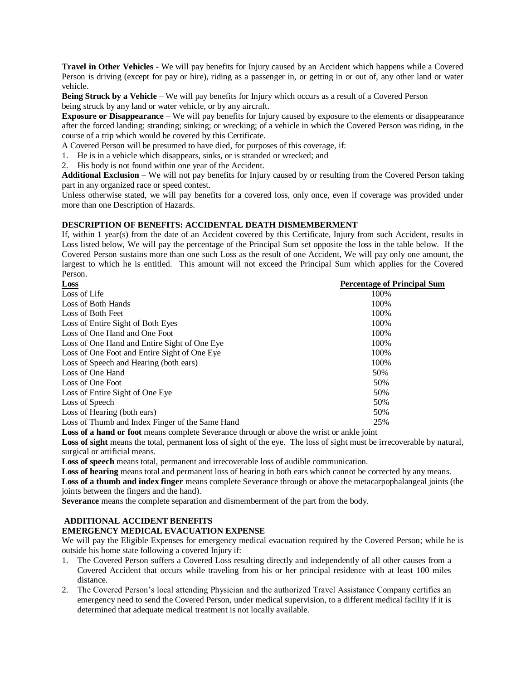**Travel in Other Vehicles** - We will pay benefits for Injury caused by an Accident which happens while a Covered Person is driving (except for pay or hire), riding as a passenger in, or getting in or out of, any other land or water vehicle.

**Being Struck by a Vehicle** – We will pay benefits for Injury which occurs as a result of a Covered Person being struck by any land or water vehicle, or by any aircraft.

**Exposure or Disappearance** – We will pay benefits for Injury caused by exposure to the elements or disappearance after the forced landing; stranding; sinking; or wrecking; of a vehicle in which the Covered Person was riding, in the course of a trip which would be covered by this Certificate.

A Covered Person will be presumed to have died, for purposes of this coverage, if:

- 1. He is in a vehicle which disappears, sinks, or is stranded or wrecked; and
- 2. His body is not found within one year of the Accident.

**Additional Exclusion** – We will not pay benefits for Injury caused by or resulting from the Covered Person taking part in any organized race or speed contest.

Unless otherwise stated, we will pay benefits for a covered loss, only once, even if coverage was provided under more than one Description of Hazards.

#### **DESCRIPTION OF BENEFITS: ACCIDENTAL DEATH DISMEMBERMENT**

If, within 1 year(s) from the date of an Accident covered by this Certificate, Injury from such Accident, results in Loss listed below, We will pay the percentage of the Principal Sum set opposite the loss in the table below. If the Covered Person sustains more than one such Loss as the result of one Accident, We will pay only one amount, the largest to which he is entitled. This amount will not exceed the Principal Sum which applies for the Covered Person.

| Loss                                            | <b>Percentage of Principal Sum</b> |
|-------------------------------------------------|------------------------------------|
| Loss of Life                                    | 100%                               |
| Loss of Both Hands                              | 100%                               |
| Loss of Both Feet                               | 100%                               |
| Loss of Entire Sight of Both Eyes               | 100%                               |
| Loss of One Hand and One Foot                   | 100%                               |
| Loss of One Hand and Entire Sight of One Eye    | 100%                               |
| Loss of One Foot and Entire Sight of One Eye    | 100%                               |
| Loss of Speech and Hearing (both ears)          | 100%                               |
| Loss of One Hand                                | 50%                                |
| Loss of One Foot                                | 50%                                |
| Loss of Entire Sight of One Eye                 | 50%                                |
| Loss of Speech                                  | 50%                                |
| Loss of Hearing (both ears)                     | 50%                                |
| Loss of Thumb and Index Finger of the Same Hand | 25%                                |

**Loss of a hand or foot** means complete Severance through or above the wrist or ankle joint

**Loss of sight** means the total, permanent loss of sight of the eye. The loss of sight must be irrecoverable by natural, surgical or artificial means.

**Loss of speech** means total, permanent and irrecoverable loss of audible communication.

**Loss of hearing** means total and permanent loss of hearing in both ears which cannot be corrected by any means.

**Loss of a thumb and index finger** means complete Severance through or above the metacarpophalangeal joints (the joints between the fingers and the hand).

**Severance** means the complete separation and dismemberment of the part from the body.

# **ADDITIONAL ACCIDENT BENEFITS**

#### **EMERGENCY MEDICAL EVACUATION EXPENSE**

We will pay the Eligible Expenses for emergency medical evacuation required by the Covered Person; while he is outside his home state following a covered Injury if:

- 1. The Covered Person suffers a Covered Loss resulting directly and independently of all other causes from a Covered Accident that occurs while traveling from his or her principal residence with at least 100 miles distance.
- 2. The Covered Person's local attending Physician and the authorized Travel Assistance Company certifies an emergency need to send the Covered Person, under medical supervision, to a different medical facility if it is determined that adequate medical treatment is not locally available.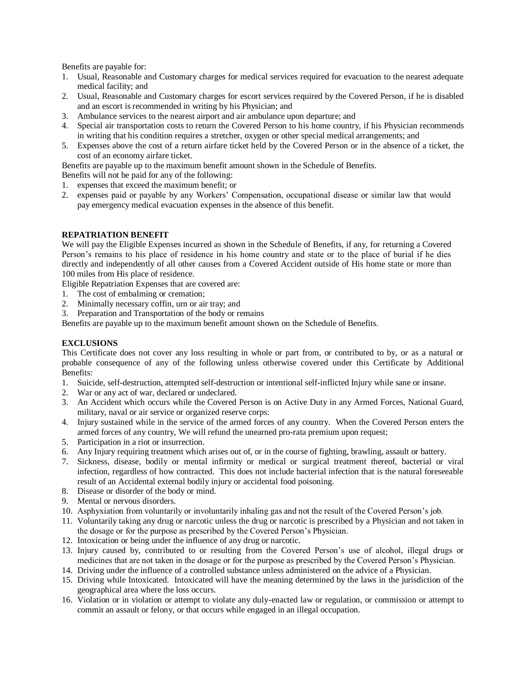Benefits are payable for:

- 1. Usual, Reasonable and Customary charges for medical services required for evacuation to the nearest adequate medical facility; and
- 2. Usual, Reasonable and Customary charges for escort services required by the Covered Person, if he is disabled and an escort is recommended in writing by his Physician; and
- 3. Ambulance services to the nearest airport and air ambulance upon departure; and
- 4. Special air transportation costs to return the Covered Person to his home country, if his Physician recommends in writing that his condition requires a stretcher, oxygen or other special medical arrangements; and
- 5. Expenses above the cost of a return airfare ticket held by the Covered Person or in the absence of a ticket, the cost of an economy airfare ticket.

Benefits are payable up to the maximum benefit amount shown in the Schedule of Benefits.

Benefits will not be paid for any of the following:

- 1. expenses that exceed the maximum benefit; or
- 2. expenses paid or payable by any Workers' Compensation, occupational disease or similar law that would pay emergency medical evacuation expenses in the absence of this benefit.

#### **REPATRIATION BENEFIT**

We will pay the Eligible Expenses incurred as shown in the Schedule of Benefits, if any, for returning a Covered Person's remains to his place of residence in his home country and state or to the place of burial if he dies directly and independently of all other causes from a Covered Accident outside of His home state or more than 100 miles from His place of residence.

Eligible Repatriation Expenses that are covered are:

- 1. The cost of embalming or cremation;
- 2. Minimally necessary coffin, urn or air tray; and
- 3. Preparation and Transportation of the body or remains

Benefits are payable up to the maximum benefit amount shown on the Schedule of Benefits.

#### **EXCLUSIONS**

This Certificate does not cover any loss resulting in whole or part from, or contributed to by, or as a natural or probable consequence of any of the following unless otherwise covered under this Certificate by Additional Benefits:

- 1. Suicide, self-destruction, attempted self-destruction or intentional self-inflicted Injury while sane or insane.
- 2. War or any act of war, declared or undeclared.
- 3. An Accident which occurs while the Covered Person is on Active Duty in any Armed Forces, National Guard, military, naval or air service or organized reserve corps:
- 4. Injury sustained while in the service of the armed forces of any country. When the Covered Person enters the armed forces of any country, We will refund the unearned pro-rata premium upon request;
- 5. Participation in a riot or insurrection.
- 6. Any Injury requiring treatment which arises out of, or in the course of fighting, brawling, assault or battery.
- 7. Sickness, disease, bodily or mental infirmity or medical or surgical treatment thereof, bacterial or viral infection, regardless of how contracted. This does not include bacterial infection that is the natural foreseeable result of an Accidental external bodily injury or accidental food poisoning.
- 8. Disease or disorder of the body or mind.
- 9. Mental or nervous disorders.
- 10. Asphyxiation from voluntarily or involuntarily inhaling gas and not the result of the Covered Person's job.
- 11. Voluntarily taking any drug or narcotic unless the drug or narcotic is prescribed by a Physician and not taken in the dosage or for the purpose as prescribed by the Covered Person's Physician.
- 12. Intoxication or being under the influence of any drug or narcotic.
- 13. Injury caused by, contributed to or resulting from the Covered Person's use of alcohol, illegal drugs or medicines that are not taken in the dosage or for the purpose as prescribed by the Covered Person's Physician.
- 14. Driving under the influence of a controlled substance unless administered on the advice of a Physician.
- 15. Driving while Intoxicated. Intoxicated will have the meaning determined by the laws in the jurisdiction of the geographical area where the loss occurs.
- 16. Violation or in violation or attempt to violate any duly-enacted law or regulation, or commission or attempt to commit an assault or felony, or that occurs while engaged in an illegal occupation.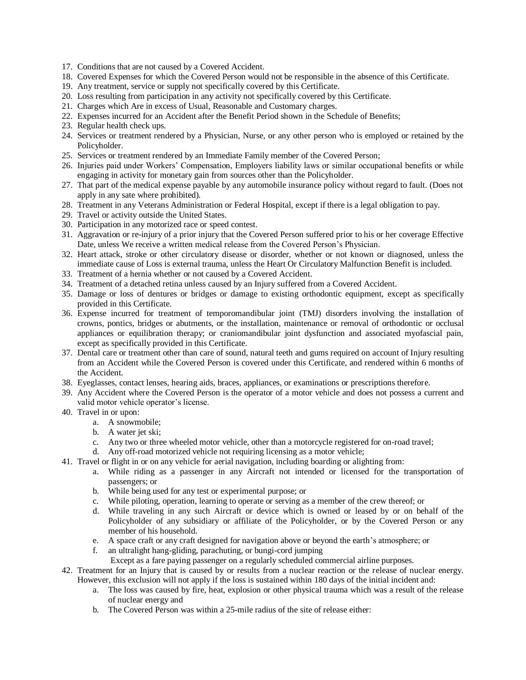- 17. Conditions that are not caused by a Covered Accident.
- 18. Covered Expenses for which the Covered Person would not be responsible in the absence of this Certificate.
- 19. Any treatment, service or supply not specifically covered by this Certificate.
- 20. Loss resulting from participation in any activity not specifically covered by this Certificate.
- 21. Charges which Are in excess of Usual, Reasonable and Customary charges.
- 22. Expenses incurred for an Accident after the Benefit Period shown in the Schedule of Benefits;
- 23. Regular health check ups.
- 24. Services or treatment rendered by a Physician, Nurse, or any other person who is employed or retained by the Policyholder.
- 25. Services or treatment rendered by an Immediate Family member of the Covered Person;
- 26. Injuries paid under Workers' Compensation, Employers liability laws or similar occupational benefits or while engaging in activity for monetary gain from sources other than the Policyholder.
- 27. That part of the medical expense payable by any automobile insurance policy without regard to fault. (Does not apply in any sate where prohibited).
- 28. Treatment in any Veterans Administration or Federal Hospital, except if there is a legal obligation to pay.
- 29. Travel or activity outside the United States.
- 30. Participation in any motorized race or speed contest.
- 31. Aggravation or re-injury of a prior injury that the Covered Person suffered prior to his or her coverage Effective Date, unless We receive a written medical release from the Covered Person's Physician.
- 32. Heart attack, stroke or other circulatory disease or disorder, whether or not known or diagnosed, unless the immediate cause of Loss is external trauma, unless the Heart Or Circulatory Malfunction Benefit is included.
- 33. Treatment of a hernia whether or not caused by a Covered Accident.
- 34. Treatment of a detached retina unless caused by an Injury suffered from a Covered Accident.
- 35. Damage or loss of dentures or bridges or damage to existing orthodontic equipment, except as specifically provided in this Certificate.
- 36. Expense incurred for treatment of temporomandibular joint (TMJ) disorders involving the installation of crowns, pontics, bridges or abutments, or the installation, maintenance or removal of orthodontic or occlusal appliances or equilibration therapy; or craniomandibular joint dysfunction and associated myofascial pain, except as specifically provided in this Certificate.
- 37. Dental care or treatment other than care of sound, natural teeth and gums required on account of Injury resulting from an Accident while the Covered Person is covered under this Certificate, and rendered within 6 months of the Accident.
- 38. Eyeglasses, contact lenses, hearing aids, braces, appliances, or examinations or prescriptions therefore.
- 39. Any Accident where the Covered Person is the operator of a motor vehicle and does not possess a current and valid motor vehicle operator's license.
- 40. Travel in or upon:
	- a. A snowmobile;
	- b. A water jet ski;
	- c. Any two or three wheeled motor vehicle, other than a motorcycle registered for on-road travel;
	- d. Any off-road motorized vehicle not requiring licensing as a motor vehicle;
- 41. Travel or flight in or on any vehicle for aerial navigation, including boarding or alighting from:
	- a. While riding as a passenger in any Aircraft not intended or licensed for the transportation of passengers; or
	- b. While being used for any test or experimental purpose; or
	- c. While piloting, operation, learning to operate or serving as a member of the crew thereof; or
	- d. While traveling in any such Aircraft or device which is owned or leased by or on behalf of the Policyholder of any subsidiary or affiliate of the Policyholder, or by the Covered Person or any member of his household.
	- e. A space craft or any craft designed for navigation above or beyond the earth's atmosphere; or
	- f. an ultralight hang-gliding, parachuting, or bungi-cord jumping
	- Except as a fare paying passenger on a regularly scheduled commercial airline purposes.
- 42. Treatment for an Injury that is caused by or results from a nuclear reaction or the release of nuclear energy. However, this exclusion will not apply if the loss is sustained within 180 days of the initial incident and:
	- a. The loss was caused by fire, heat, explosion or other physical trauma which was a result of the release of nuclear energy and
	- b. The Covered Person was within a 25-mile radius of the site of release either: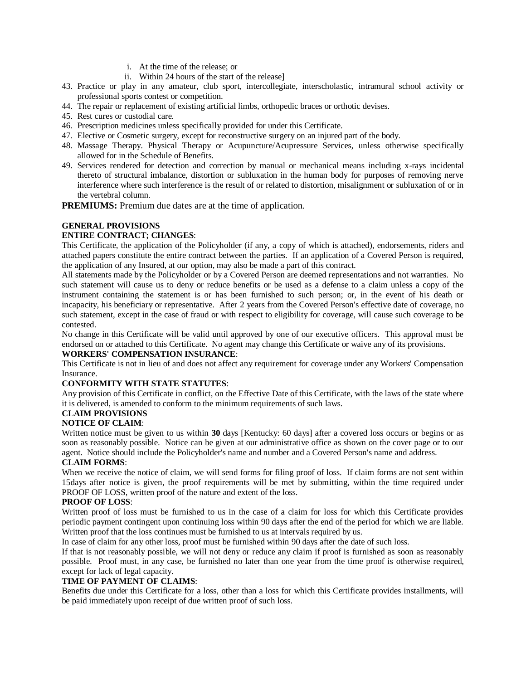- i. At the time of the release; or
- ii. Within 24 hours of the start of the release]
- 43. Practice or play in any amateur, club sport, intercollegiate, interscholastic, intramural school activity or professional sports contest or competition.
- 44. The repair or replacement of existing artificial limbs, orthopedic braces or orthotic devises.
- 45. Rest cures or custodial care.
- 46. Prescription medicines unless specifically provided for under this Certificate.
- 47. Elective or Cosmetic surgery, except for reconstructive surgery on an injured part of the body.
- 48. Massage Therapy. Physical Therapy or Acupuncture/Acupressure Services, unless otherwise specifically allowed for in the Schedule of Benefits.
- 49. Services rendered for detection and correction by manual or mechanical means including x-rays incidental thereto of structural imbalance, distortion or subluxation in the human body for purposes of removing nerve interference where such interference is the result of or related to distortion, misalignment or subluxation of or in the vertebral column.

**PREMIUMS:** Premium due dates are at the time of application.

## **GENERAL PROVISIONS**

## **ENTIRE CONTRACT; CHANGES**:

This Certificate, the application of the Policyholder (if any, a copy of which is attached), endorsements, riders and attached papers constitute the entire contract between the parties. If an application of a Covered Person is required, the application of any Insured, at our option, may also be made a part of this contract.

All statements made by the Policyholder or by a Covered Person are deemed representations and not warranties. No such statement will cause us to deny or reduce benefits or be used as a defense to a claim unless a copy of the instrument containing the statement is or has been furnished to such person; or, in the event of his death or incapacity, his beneficiary or representative. After 2 years from the Covered Person's effective date of coverage, no such statement, except in the case of fraud or with respect to eligibility for coverage, will cause such coverage to be contested.

No change in this Certificate will be valid until approved by one of our executive officers. This approval must be endorsed on or attached to this Certificate. No agent may change this Certificate or waive any of its provisions. **WORKERS' COMPENSATION INSURANCE**:

This Certificate is not in lieu of and does not affect any requirement for coverage under any Workers' Compensation Insurance.

## **CONFORMITY WITH STATE STATUTES**:

Any provision of this Certificate in conflict, on the Effective Date of this Certificate, with the laws of the state where it is delivered, is amended to conform to the minimum requirements of such laws.

## **CLAIM PROVISIONS**

## **NOTICE OF CLAIM**:

Written notice must be given to us within **30** days [Kentucky: 60 days] after a covered loss occurs or begins or as soon as reasonably possible. Notice can be given at our administrative office as shown on the cover page or to our agent. Notice should include the Policyholder's name and number and a Covered Person's name and address.

## **CLAIM FORMS**:

When we receive the notice of claim, we will send forms for filing proof of loss. If claim forms are not sent within 15days after notice is given, the proof requirements will be met by submitting, within the time required under PROOF OF LOSS, written proof of the nature and extent of the loss.

## **PROOF OF LOSS**:

Written proof of loss must be furnished to us in the case of a claim for loss for which this Certificate provides periodic payment contingent upon continuing loss within 90 days after the end of the period for which we are liable. Written proof that the loss continues must be furnished to us at intervals required by us.

In case of claim for any other loss, proof must be furnished within 90 days after the date of such loss.

If that is not reasonably possible, we will not deny or reduce any claim if proof is furnished as soon as reasonably possible. Proof must, in any case, be furnished no later than one year from the time proof is otherwise required, except for lack of legal capacity.

## **TIME OF PAYMENT OF CLAIMS**:

Benefits due under this Certificate for a loss, other than a loss for which this Certificate provides installments, will be paid immediately upon receipt of due written proof of such loss.